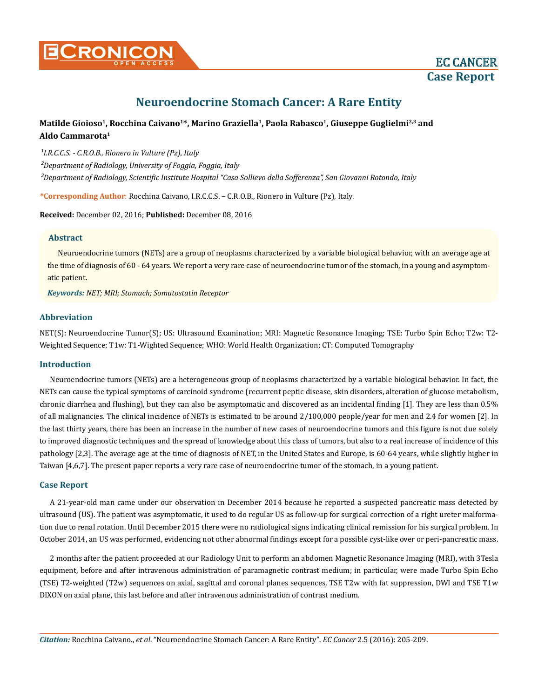# **Neuroendocrine Stomach Cancer: A Rare Entity**

# **Matilde Gioioso1, Rocchina Caivano1\*, Marino Graziella1, Paola Rabasco1, Giuseppe Guglielmi2,3 and Aldo Cammarota1**

<sup>1</sup>I.R.C.C.S. - C.R.O.B., Rionero in Vulture (Pz), Italy *²Department of Radiology, University of Foggia, Foggia, Italy ³Department of Radiology, Scientific Institute Hospital "Casa Sollievo della Sofferenza", San Giovanni Rotondo, Italy*

**\*Corresponding Author**: Rocchina Caivano, I.R.C.C.S. – C.R.O.B., Rionero in Vulture (Pz), Italy.

**Received:** December 02, 2016; **Published:** December 08, 2016

## **Abstract**

Neuroendocrine tumors (NETs) are a group of neoplasms characterized by a variable biological behavior, with an average age at the time of diagnosis of 60 - 64 years. We report a very rare case of neuroendocrine tumor of the stomach, in a young and asymptomatic patient.

*Keywords: NET; MRI; Stomach; Somatostatin Receptor*

# **Abbreviation**

NET(S): Neuroendocrine Tumor(S); US: Ultrasound Examination; MRI: Magnetic Resonance Imaging; TSE: Turbo Spin Echo; T2w: T2- Weighted Sequence; T1w: T1-Wighted Sequence; WHO: World Health Organization; CT: Computed Tomography

## **Introduction**

Neuroendocrine tumors (NETs) are a heterogeneous group of neoplasms characterized by a variable biological behavior. In fact, the NETs can cause the typical symptoms of carcinoid syndrome (recurrent peptic disease, skin disorders, alteration of glucose metabolism, chronic diarrhea and flushing), but they can also be asymptomatic and discovered as an incidental finding [1]. They are less than 0.5% of all malignancies. The clinical incidence of NETs is estimated to be around 2/100,000 people/year for men and 2.4 for women [2]. In the last thirty years, there has been an increase in the number of new cases of neuroendocrine tumors and this figure is not due solely to improved diagnostic techniques and the spread of knowledge about this class of tumors, but also to a real increase of incidence of this pathology [2,3]. The average age at the time of diagnosis of NET, in the United States and Europe, is 60-64 years, while slightly higher in Taiwan [4,6,7]. The present paper reports a very rare case of neuroendocrine tumor of the stomach, in a young patient.

## **Case Report**

A 21-year-old man came under our observation in December 2014 because he reported a suspected pancreatic mass detected by ultrasound (US). The patient was asymptomatic, it used to do regular US as follow-up for surgical correction of a right ureter malformation due to renal rotation. Until December 2015 there were no radiological signs indicating clinical remission for his surgical problem. In October 2014, an US was performed, evidencing not other abnormal findings except for a possible cyst-like over or peri-pancreatic mass.

2 months after the patient proceeded at our Radiology Unit to perform an abdomen Magnetic Resonance Imaging (MRI), with 3Tesla equipment, before and after intravenous administration of paramagnetic contrast medium; in particular, were made Turbo Spin Echo (TSE) T2-weighted (T2w) sequences on axial, sagittal and coronal planes sequences, TSE T2w with fat suppression, DWI and TSE T1w DIXON on axial plane, this last before and after intravenous administration of contrast medium.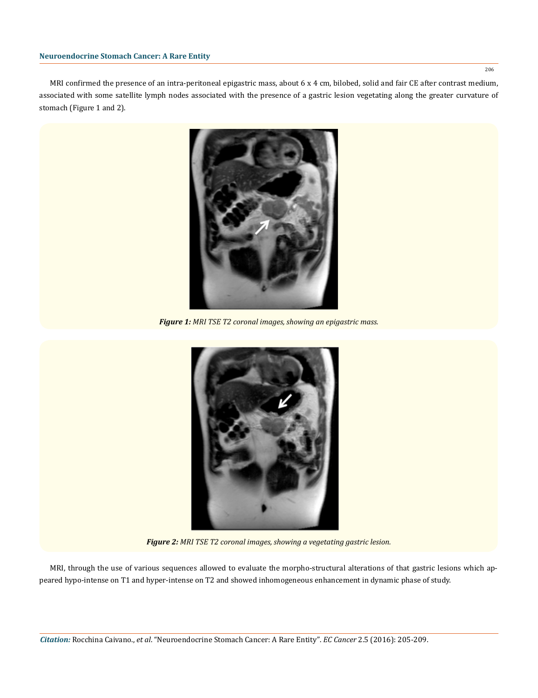#### **Neuroendocrine Stomach Cancer: A Rare Entity**

MRI confirmed the presence of an intra-peritoneal epigastric mass, about 6 x 4 cm, bilobed, solid and fair CE after contrast medium, associated with some satellite lymph nodes associated with the presence of a gastric lesion vegetating along the greater curvature of stomach (Figure 1 and 2).



*Figure 1: MRI TSE T2 coronal images, showing an epigastric mass.*



*Figure 2: MRI TSE T2 coronal images, showing a vegetating gastric lesion.*

MRI, through the use of various sequences allowed to evaluate the morpho-structural alterations of that gastric lesions which appeared hypo-intense on T1 and hyper-intense on T2 and showed inhomogeneous enhancement in dynamic phase of study.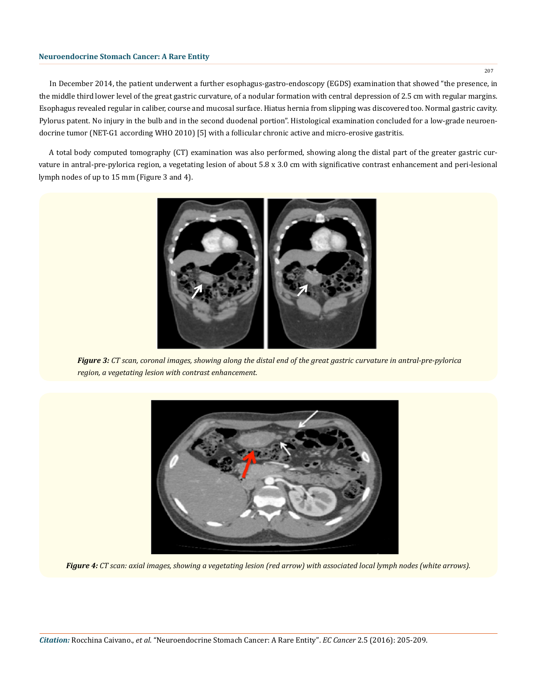#### **Neuroendocrine Stomach Cancer: A Rare Entity**

In December 2014, the patient underwent a further esophagus-gastro-endoscopy (EGDS) examination that showed "the presence, in the middle third lower level of the great gastric curvature, of a nodular formation with central depression of 2.5 cm with regular margins. Esophagus revealed regular in caliber, course and mucosal surface. Hiatus hernia from slipping was discovered too. Normal gastric cavity. Pylorus patent. No injury in the bulb and in the second duodenal portion". Histological examination concluded for a low-grade neuroendocrine tumor (NET-G1 according WHO 2010) [5] with a follicular chronic active and micro-erosive gastritis.

A total body computed tomography (CT) examination was also performed, showing along the distal part of the greater gastric curvature in antral-pre-pylorica region, a vegetating lesion of about 5.8 x 3.0 cm with significative contrast enhancement and peri-lesional lymph nodes of up to 15 mm (Figure 3 and 4).



*Figure 3: CT scan, coronal images, showing along the distal end of the great gastric curvature in antral-pre-pylorica region, a vegetating lesion with contrast enhancement.*



*Figure 4: CT scan: axial images, showing a vegetating lesion (red arrow) with associated local lymph nodes (white arrows).*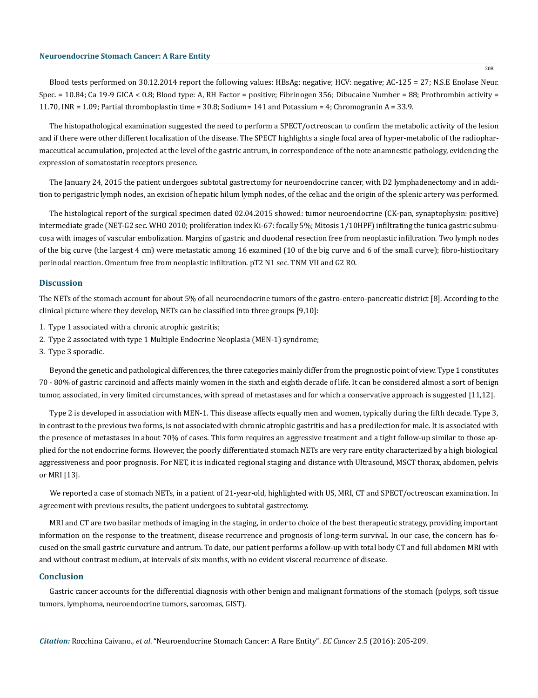Blood tests performed on 30.12.2014 report the following values: HBsAg: negative; HCV: negative; AC-125 = 27; N.S.E Enolase Neur. Spec. = 10.84; Ca 19-9 GICA < 0.8; Blood type: A, RH Factor = positive; Fibrinogen 356; Dibucaine Number = 88; Prothrombin activity = 11.70, INR = 1.09; Partial thromboplastin time =  $30.8$ ; Sodium= 141 and Potassium = 4; Chromogranin A = 33.9.

The histopathological examination suggested the need to perform a SPECT/octreoscan to confirm the metabolic activity of the lesion and if there were other different localization of the disease. The SPECT highlights a single focal area of hyper-metabolic of the radiopharmaceutical accumulation, projected at the level of the gastric antrum, in correspondence of the note anamnestic pathology, evidencing the expression of somatostatin receptors presence.

The January 24, 2015 the patient undergoes subtotal gastrectomy for neuroendocrine cancer, with D2 lymphadenectomy and in addition to perigastric lymph nodes, an excision of hepatic hilum lymph nodes, of the celiac and the origin of the splenic artery was performed.

The histological report of the surgical specimen dated 02.04.2015 showed: tumor neuroendocrine (CK-pan, synaptophysin: positive) intermediate grade (NET-G2 sec. WHO 2010; proliferation index Ki-67: focally 5%; Mitosis 1/10HPF) infiltrating the tunica gastric submucosa with images of vascular embolization. Margins of gastric and duodenal resection free from neoplastic infiltration. Two lymph nodes of the big curve (the largest 4 cm) were metastatic among 16 examined (10 of the big curve and 6 of the small curve); fibro-histiocitary perinodal reaction. Omentum free from neoplastic infiltration. pT2 N1 sec. TNM VII and G2 R0.

#### **Discussion**

The NETs of the stomach account for about 5% of all neuroendocrine tumors of the gastro-entero-pancreatic district [8]. According to the clinical picture where they develop, NETs can be classified into three groups [9,10]:

- 1. Type 1 associated with a chronic atrophic gastritis;
- 2. Type 2 associated with type 1 Multiple Endocrine Neoplasia (MEN-1) syndrome;
- 3. Type 3 sporadic.

Beyond the genetic and pathological differences, the three categories mainly differ from the prognostic point of view. Type 1 constitutes 70 - 80% of gastric carcinoid and affects mainly women in the sixth and eighth decade of life. It can be considered almost a sort of benign tumor, associated, in very limited circumstances, with spread of metastases and for which a conservative approach is suggested [11,12].

Type 2 is developed in association with MEN-1. This disease affects equally men and women, typically during the fifth decade. Type 3, in contrast to the previous two forms, is not associated with chronic atrophic gastritis and has a predilection for male. It is associated with the presence of metastases in about 70% of cases. This form requires an aggressive treatment and a tight follow-up similar to those applied for the not endocrine forms. However, the poorly differentiated stomach NETs are very rare entity characterized by a high biological aggressiveness and poor prognosis. For NET, it is indicated regional staging and distance with Ultrasound, MSCT thorax, abdomen, pelvis or MRI [13].

We reported a case of stomach NETs, in a patient of 21-year-old, highlighted with US, MRI, CT and SPECT/octreoscan examination. In agreement with previous results, the patient undergoes to subtotal gastrectomy.

MRI and CT are two basilar methods of imaging in the staging, in order to choice of the best therapeutic strategy, providing important information on the response to the treatment, disease recurrence and prognosis of long-term survival. In our case, the concern has focused on the small gastric curvature and antrum. To date, our patient performs a follow-up with total body CT and full abdomen MRI with and without contrast medium, at intervals of six months, with no evident visceral recurrence of disease.

#### **Conclusion**

Gastric cancer accounts for the differential diagnosis with other benign and malignant formations of the stomach (polyps, soft tissue tumors, lymphoma, neuroendocrine tumors, sarcomas, GIST).

*Citation:* Rocchina Caivano., *et al*. "Neuroendocrine Stomach Cancer: A Rare Entity". *EC Cancer* 2.5 (2016): 205-209.